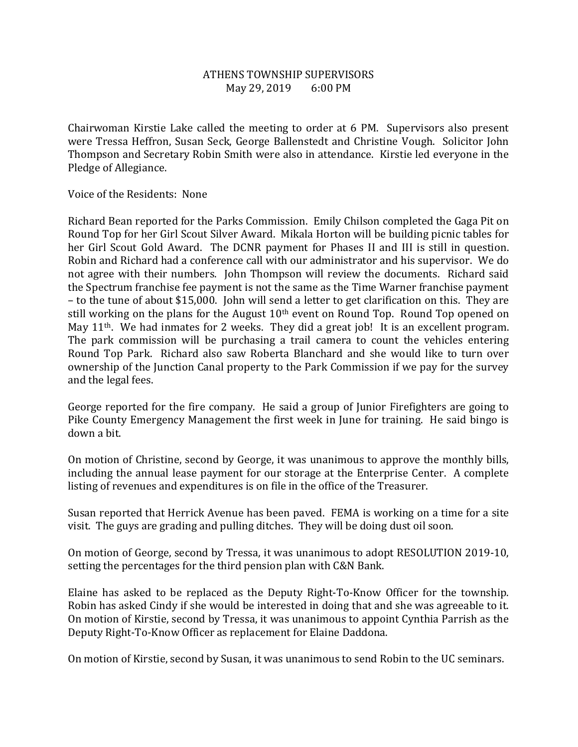## ATHENS TOWNSHIP SUPERVISORS May 29, 2019 6:00 PM

Chairwoman Kirstie Lake called the meeting to order at 6 PM. Supervisors also present were Tressa Heffron, Susan Seck, George Ballenstedt and Christine Vough. Solicitor John Thompson and Secretary Robin Smith were also in attendance. Kirstie led everyone in the Pledge of Allegiance.

Voice of the Residents: None

Richard Bean reported for the Parks Commission. Emily Chilson completed the Gaga Pit on Round Top for her Girl Scout Silver Award. Mikala Horton will be building picnic tables for her Girl Scout Gold Award. The DCNR payment for Phases II and III is still in question. Robin and Richard had a conference call with our administrator and his supervisor. We do not agree with their numbers. John Thompson will review the documents. Richard said the Spectrum franchise fee payment is not the same as the Time Warner franchise payment – to the tune of about \$15,000. John will send a letter to get clarification on this. They are still working on the plans for the August  $10<sup>th</sup>$  event on Round Top. Round Top opened on May 11<sup>th</sup>. We had inmates for 2 weeks. They did a great job! It is an excellent program. The park commission will be purchasing a trail camera to count the vehicles entering Round Top Park. Richard also saw Roberta Blanchard and she would like to turn over ownership of the Junction Canal property to the Park Commission if we pay for the survey and the legal fees.

George reported for the fire company. He said a group of Junior Firefighters are going to Pike County Emergency Management the first week in June for training. He said bingo is down a bit.

On motion of Christine, second by George, it was unanimous to approve the monthly bills, including the annual lease payment for our storage at the Enterprise Center. A complete listing of revenues and expenditures is on file in the office of the Treasurer.

Susan reported that Herrick Avenue has been paved. FEMA is working on a time for a site visit. The guys are grading and pulling ditches. They will be doing dust oil soon.

On motion of George, second by Tressa, it was unanimous to adopt RESOLUTION 2019-10, setting the percentages for the third pension plan with C&N Bank.

Elaine has asked to be replaced as the Deputy Right-To-Know Officer for the township. Robin has asked Cindy if she would be interested in doing that and she was agreeable to it. On motion of Kirstie, second by Tressa, it was unanimous to appoint Cynthia Parrish as the Deputy Right-To-Know Officer as replacement for Elaine Daddona.

On motion of Kirstie, second by Susan, it was unanimous to send Robin to the UC seminars.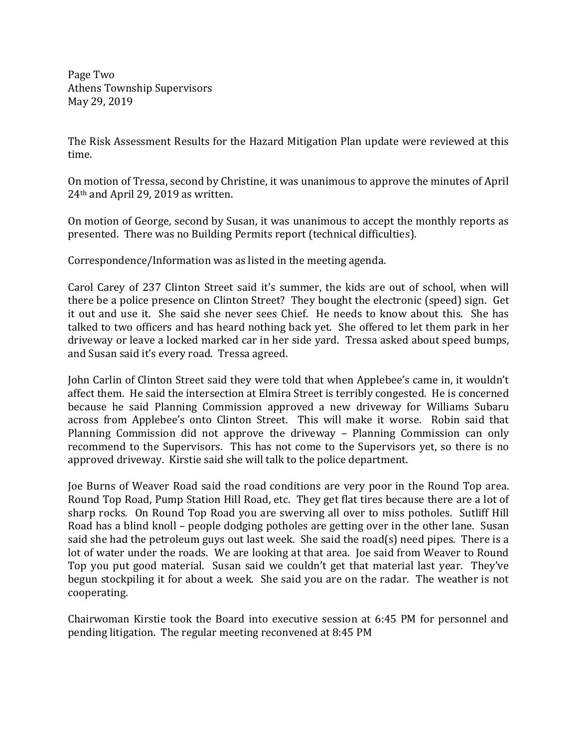Page Two Athens Township Supervisors May 29, 2019

The Risk Assessment Results for the Hazard Mitigation Plan update were reviewed at this time.

On motion of Tressa, second by Christine, it was unanimous to approve the minutes of April 24th and April 29, 2019 as written.

On motion of George, second by Susan, it was unanimous to accept the monthly reports as presented. There was no Building Permits report (technical difficulties).

Correspondence/Information was as listed in the meeting agenda.

Carol Carey of 237 Clinton Street said it's summer, the kids are out of school, when will there be a police presence on Clinton Street? They bought the electronic (speed) sign. Get it out and use it. She said she never sees Chief. He needs to know about this. She has talked to two officers and has heard nothing back yet. She offered to let them park in her driveway or leave a locked marked car in her side yard. Tressa asked about speed bumps, and Susan said it's every road. Tressa agreed.

John Carlin of Clinton Street said they were told that when Applebee's came in, it wouldn't affect them. He said the intersection at Elmira Street is terribly congested. He is concerned because he said Planning Commission approved a new driveway for Williams Subaru across from Applebee's onto Clinton Street. This will make it worse. Robin said that Planning Commission did not approve the driveway – Planning Commission can only recommend to the Supervisors. This has not come to the Supervisors yet, so there is no approved driveway. Kirstie said she will talk to the police department.

Joe Burns of Weaver Road said the road conditions are very poor in the Round Top area. Round Top Road, Pump Station Hill Road, etc. They get flat tires because there are a lot of sharp rocks. On Round Top Road you are swerving all over to miss potholes. Sutliff Hill Road has a blind knoll – people dodging potholes are getting over in the other lane. Susan said she had the petroleum guys out last week. She said the road(s) need pipes. There is a lot of water under the roads. We are looking at that area. Joe said from Weaver to Round Top you put good material. Susan said we couldn't get that material last year. They've begun stockpiling it for about a week. She said you are on the radar. The weather is not cooperating.

Chairwoman Kirstie took the Board into executive session at 6:45 PM for personnel and pending litigation. The regular meeting reconvened at 8:45 PM